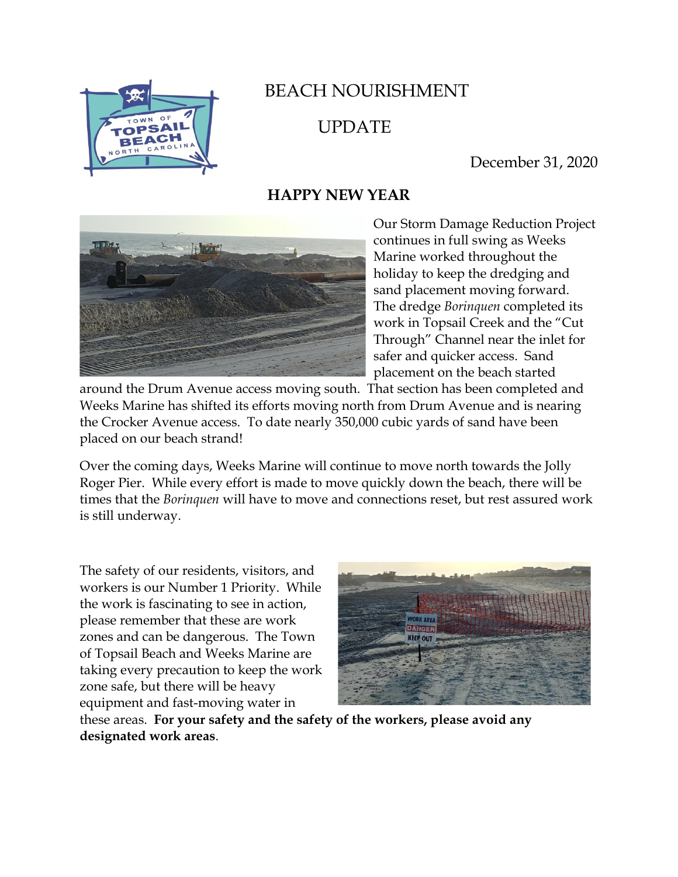

## BEACH NOURISHMENT

UPDATE

December 31, 2020

## **HAPPY NEW YEAR**



Our Storm Damage Reduction Project continues in full swing as Weeks Marine worked throughout the holiday to keep the dredging and sand placement moving forward. The dredge *Borinquen* completed its work in Topsail Creek and the "Cut Through" Channel near the inlet for safer and quicker access. Sand placement on the beach started

around the Drum Avenue access moving south. That section has been completed and Weeks Marine has shifted its efforts moving north from Drum Avenue and is nearing the Crocker Avenue access. To date nearly 350,000 cubic yards of sand have been placed on our beach strand!

Over the coming days, Weeks Marine will continue to move north towards the Jolly Roger Pier. While every effort is made to move quickly down the beach, there will be times that the *Borinquen* will have to move and connections reset, but rest assured work is still underway.

The safety of our residents, visitors, and workers is our Number 1 Priority. While the work is fascinating to see in action, please remember that these are work zones and can be dangerous. The Town of Topsail Beach and Weeks Marine are taking every precaution to keep the work zone safe, but there will be heavy equipment and fast-moving water in



these areas. **For your safety and the safety of the workers, please avoid any designated work areas**.